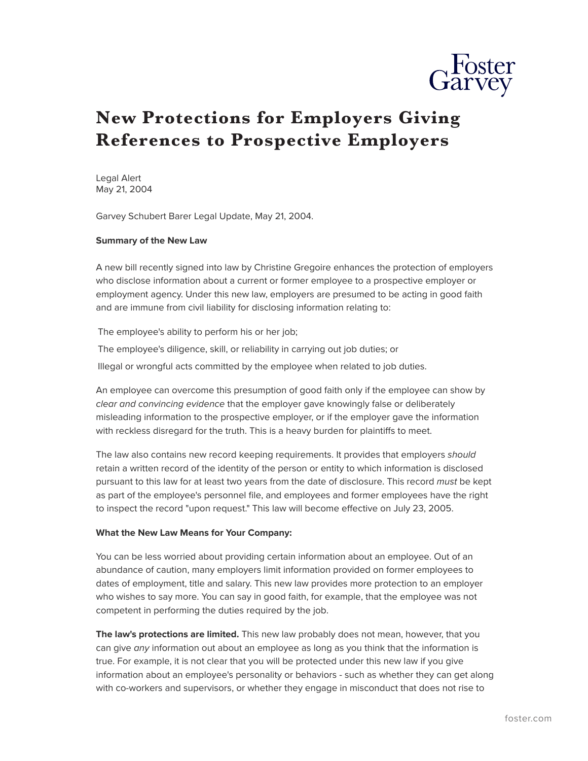

## **New Protections for Employers Giving References to Prospective Employers**

Legal Alert May 21, 2004

Garvey Schubert Barer Legal Update, May 21, 2004.

## **Summary of the New Law**

A new bill recently signed into law by Christine Gregoire enhances the protection of employers who disclose information about a current or former employee to a prospective employer or employment agency. Under this new law, employers are presumed to be acting in good faith and are immune from civil liability for disclosing information relating to:

The employee's ability to perform his or her job;

The employee's diligence, skill, or reliability in carrying out job duties; or Illegal or wrongful acts committed by the employee when related to job duties.

An employee can overcome this presumption of good faith only if the employee can show by *clear and convincing evidence* that the employer gave knowingly false or deliberately misleading information to the prospective employer, or if the employer gave the information with reckless disregard for the truth. This is a heavy burden for plaintiffs to meet.

The law also contains new record keeping requirements. It provides that employers *should* retain a written record of the identity of the person or entity to which information is disclosed pursuant to this law for at least two years from the date of disclosure. This record *must* be kept as part of the employee's personnel file, and employees and former employees have the right to inspect the record "upon request." This law will become effective on July 23, 2005.

## **What the New Law Means for Your Company:**

You can be less worried about providing certain information about an employee. Out of an abundance of caution, many employers limit information provided on former employees to dates of employment, title and salary. This new law provides more protection to an employer who wishes to say more. You can say in good faith, for example, that the employee was not competent in performing the duties required by the job.

**The law's protections are limited.** This new law probably does not mean, however, that you can give *any* information out about an employee as long as you think that the information is true. For example, it is not clear that you will be protected under this new law if you give information about an employee's personality or behaviors - such as whether they can get along with co-workers and supervisors, or whether they engage in misconduct that does not rise to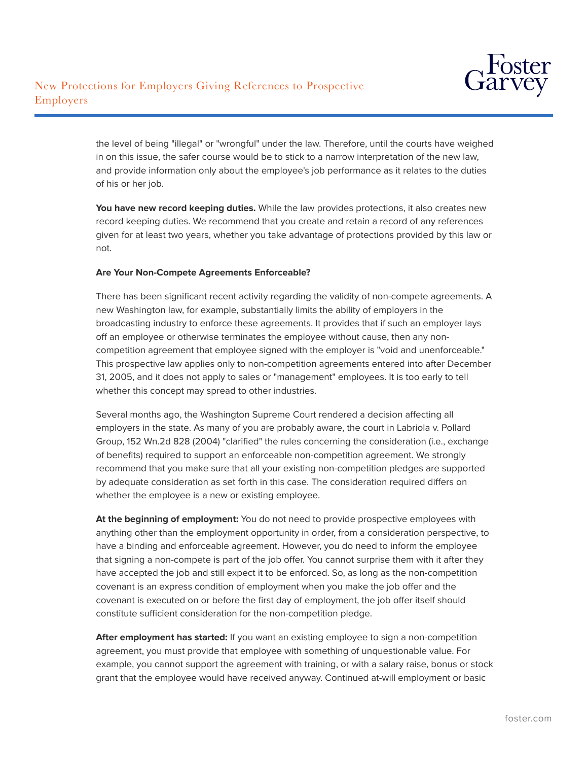

the level of being "illegal" or "wrongful" under the law. Therefore, until the courts have weighed in on this issue, the safer course would be to stick to a narrow interpretation of the new law, and provide information only about the employee's job performance as it relates to the duties of his or her job.

**You have new record keeping duties.** While the law provides protections, it also creates new record keeping duties. We recommend that you create and retain a record of any references given for at least two years, whether you take advantage of protections provided by this law or not.

## **Are Your Non-Compete Agreements Enforceable?**

There has been significant recent activity regarding the validity of non-compete agreements. A new Washington law, for example, substantially limits the ability of employers in the broadcasting industry to enforce these agreements. It provides that if such an employer lays off an employee or otherwise terminates the employee without cause, then any noncompetition agreement that employee signed with the employer is "void and unenforceable." This prospective law applies only to non-competition agreements entered into after December 31, 2005, and it does not apply to sales or "management" employees. It is too early to tell whether this concept may spread to other industries.

Several months ago, the Washington Supreme Court rendered a decision affecting all employers in the state. As many of you are probably aware, the court in Labriola v. Pollard Group, 152 Wn.2d 828 (2004) "clarified" the rules concerning the consideration (i.e., exchange of benefits) required to support an enforceable non-competition agreement. We strongly recommend that you make sure that all your existing non-competition pledges are supported by adequate consideration as set forth in this case. The consideration required differs on whether the employee is a new or existing employee.

**At the beginning of employment:** You do not need to provide prospective employees with anything other than the employment opportunity in order, from a consideration perspective, to have a binding and enforceable agreement. However, you do need to inform the employee that signing a non-compete is part of the job offer. You cannot surprise them with it after they have accepted the job and still expect it to be enforced. So, as long as the non-competition covenant is an express condition of employment when you make the job offer and the covenant is executed on or before the first day of employment, the job offer itself should constitute sufficient consideration for the non-competition pledge.

**After employment has started:** If you want an existing employee to sign a non-competition agreement, you must provide that employee with something of unquestionable value. For example, you cannot support the agreement with training, or with a salary raise, bonus or stock grant that the employee would have received anyway. Continued at-will employment or basic